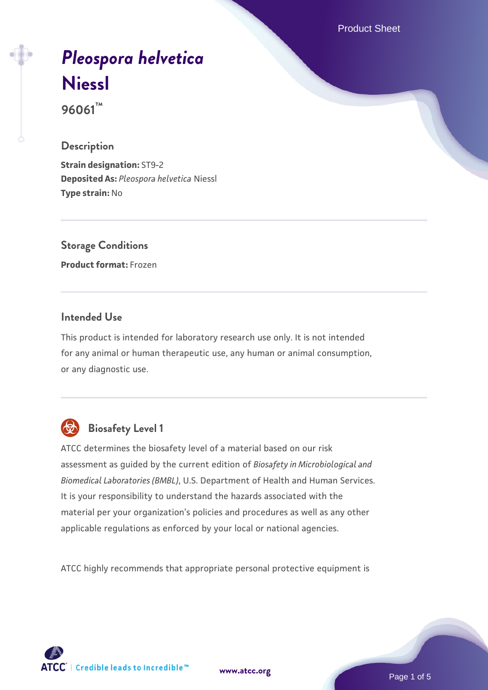Product Sheet

# *[Pleospora helvetica](https://www.atcc.org/products/96061)* **[Niessl](https://www.atcc.org/products/96061)**

**96061™**

#### **Description**

**Strain designation:** ST9-2 **Deposited As:** *Pleospora helvetica* Niessl **Type strain:** No

**Storage Conditions Product format:** Frozen

#### **Intended Use**

This product is intended for laboratory research use only. It is not intended for any animal or human therapeutic use, any human or animal consumption, or any diagnostic use.



## **Biosafety Level 1**

ATCC determines the biosafety level of a material based on our risk assessment as guided by the current edition of *Biosafety in Microbiological and Biomedical Laboratories (BMBL)*, U.S. Department of Health and Human Services. It is your responsibility to understand the hazards associated with the material per your organization's policies and procedures as well as any other applicable regulations as enforced by your local or national agencies.

ATCC highly recommends that appropriate personal protective equipment is

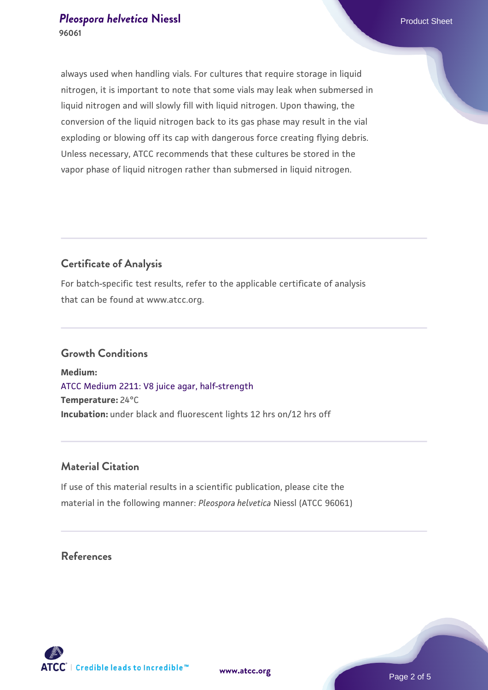always used when handling vials. For cultures that require storage in liquid nitrogen, it is important to note that some vials may leak when submersed in liquid nitrogen and will slowly fill with liquid nitrogen. Upon thawing, the conversion of the liquid nitrogen back to its gas phase may result in the vial exploding or blowing off its cap with dangerous force creating flying debris. Unless necessary, ATCC recommends that these cultures be stored in the vapor phase of liquid nitrogen rather than submersed in liquid nitrogen.

#### **Certificate of Analysis**

For batch-specific test results, refer to the applicable certificate of analysis that can be found at www.atcc.org.

#### **Growth Conditions**

**Medium:**  [ATCC Medium 2211: V8 juice agar, half-strength](https://www.atcc.org/-/media/product-assets/documents/microbial-media-formulations/2/2/1/1/atcc-medium-2211.pdf?rev=556c7dd2b94b4c8994eb3adffa660619) **Temperature:** 24°C **Incubation:** under black and fluorescent lights 12 hrs on/12 hrs off

#### **Material Citation**

If use of this material results in a scientific publication, please cite the material in the following manner: *Pleospora helvetica* Niessl (ATCC 96061)

## **References**



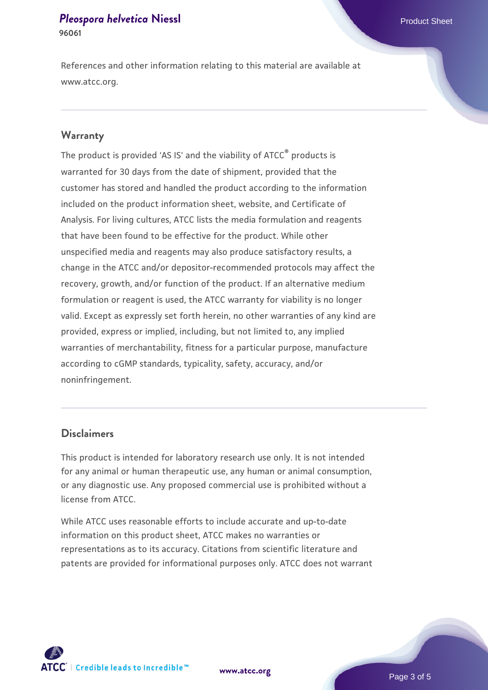#### **[Pleospora helvetica](https://www.atcc.org/products/96061) [Niessl](https://www.atcc.org/products/96061) Product Sheet 96061**

References and other information relating to this material are available at www.atcc.org.

#### **Warranty**

The product is provided 'AS IS' and the viability of ATCC® products is warranted for 30 days from the date of shipment, provided that the customer has stored and handled the product according to the information included on the product information sheet, website, and Certificate of Analysis. For living cultures, ATCC lists the media formulation and reagents that have been found to be effective for the product. While other unspecified media and reagents may also produce satisfactory results, a change in the ATCC and/or depositor-recommended protocols may affect the recovery, growth, and/or function of the product. If an alternative medium formulation or reagent is used, the ATCC warranty for viability is no longer valid. Except as expressly set forth herein, no other warranties of any kind are provided, express or implied, including, but not limited to, any implied warranties of merchantability, fitness for a particular purpose, manufacture according to cGMP standards, typicality, safety, accuracy, and/or noninfringement.

#### **Disclaimers**

This product is intended for laboratory research use only. It is not intended for any animal or human therapeutic use, any human or animal consumption, or any diagnostic use. Any proposed commercial use is prohibited without a license from ATCC.

While ATCC uses reasonable efforts to include accurate and up-to-date information on this product sheet, ATCC makes no warranties or representations as to its accuracy. Citations from scientific literature and patents are provided for informational purposes only. ATCC does not warrant



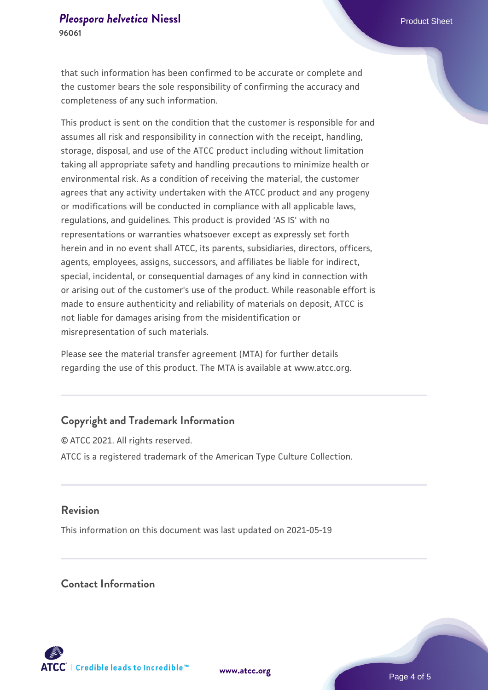that such information has been confirmed to be accurate or complete and the customer bears the sole responsibility of confirming the accuracy and completeness of any such information.

This product is sent on the condition that the customer is responsible for and assumes all risk and responsibility in connection with the receipt, handling, storage, disposal, and use of the ATCC product including without limitation taking all appropriate safety and handling precautions to minimize health or environmental risk. As a condition of receiving the material, the customer agrees that any activity undertaken with the ATCC product and any progeny or modifications will be conducted in compliance with all applicable laws, regulations, and guidelines. This product is provided 'AS IS' with no representations or warranties whatsoever except as expressly set forth herein and in no event shall ATCC, its parents, subsidiaries, directors, officers, agents, employees, assigns, successors, and affiliates be liable for indirect, special, incidental, or consequential damages of any kind in connection with or arising out of the customer's use of the product. While reasonable effort is made to ensure authenticity and reliability of materials on deposit, ATCC is not liable for damages arising from the misidentification or misrepresentation of such materials.

Please see the material transfer agreement (MTA) for further details regarding the use of this product. The MTA is available at www.atcc.org.

### **Copyright and Trademark Information**

© ATCC 2021. All rights reserved. ATCC is a registered trademark of the American Type Culture Collection.

#### **Revision**

This information on this document was last updated on 2021-05-19

#### **Contact Information**



**[www.atcc.org](http://www.atcc.org)**